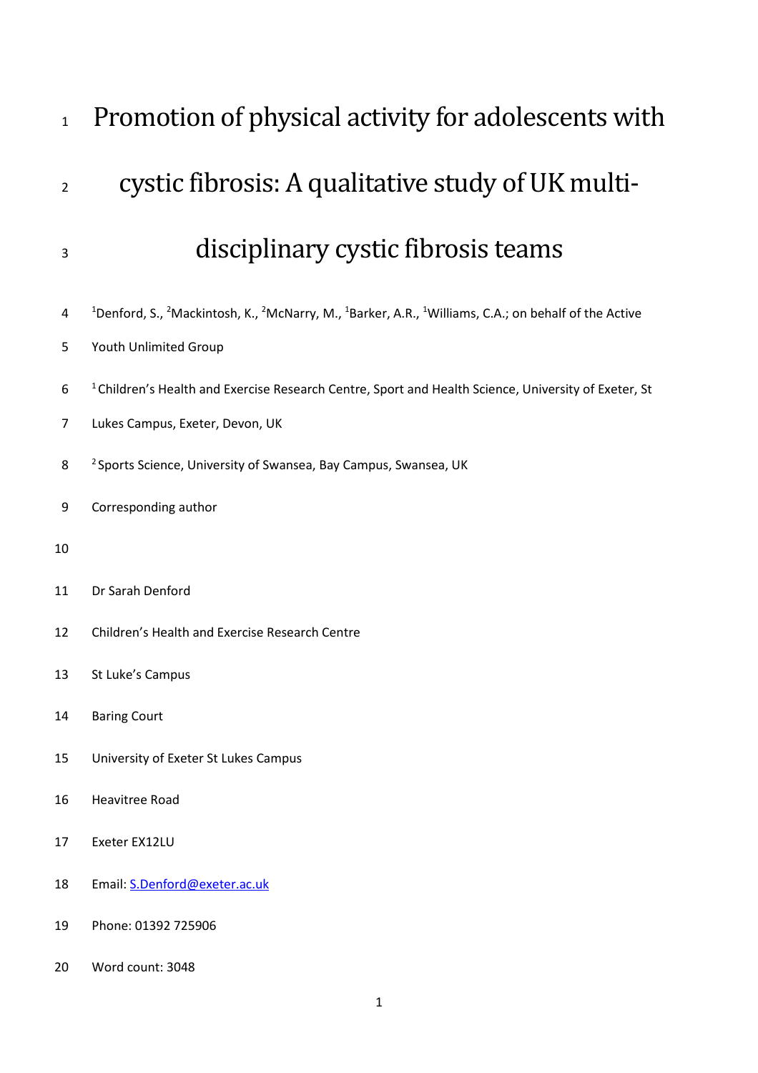| $\mathbf{1}$   | Promotion of physical activity for adolescents with                                                                                                                                       |
|----------------|-------------------------------------------------------------------------------------------------------------------------------------------------------------------------------------------|
| $\overline{2}$ | cystic fibrosis: A qualitative study of UK multi-                                                                                                                                         |
| 3              | disciplinary cystic fibrosis teams                                                                                                                                                        |
| 4<br>5         | <sup>1</sup> Denford, S., <sup>2</sup> Mackintosh, K., <sup>2</sup> McNarry, M., <sup>1</sup> Barker, A.R., <sup>1</sup> Williams, C.A.; on behalf of the Active<br>Youth Unlimited Group |
| 6<br>7         | <sup>1</sup> Children's Health and Exercise Research Centre, Sport and Health Science, University of Exeter, St<br>Lukes Campus, Exeter, Devon, UK                                        |
| 8              | <sup>2</sup> Sports Science, University of Swansea, Bay Campus, Swansea, UK                                                                                                               |
| 9              | Corresponding author                                                                                                                                                                      |
| 10             |                                                                                                                                                                                           |
| 11             | Dr Sarah Denford                                                                                                                                                                          |
| 12             | Children's Health and Exercise Research Centre                                                                                                                                            |
| 13             | St Luke's Campus                                                                                                                                                                          |
| 14             | <b>Baring Court</b>                                                                                                                                                                       |
| 15             | University of Exeter St Lukes Campus                                                                                                                                                      |
| 16             | <b>Heavitree Road</b>                                                                                                                                                                     |
| 17             | Exeter EX12LU                                                                                                                                                                             |
| 18             | Email: S.Denford@exeter.ac.uk                                                                                                                                                             |
| 19             | Phone: 01392 725906                                                                                                                                                                       |
| 20             | Word count: 3048                                                                                                                                                                          |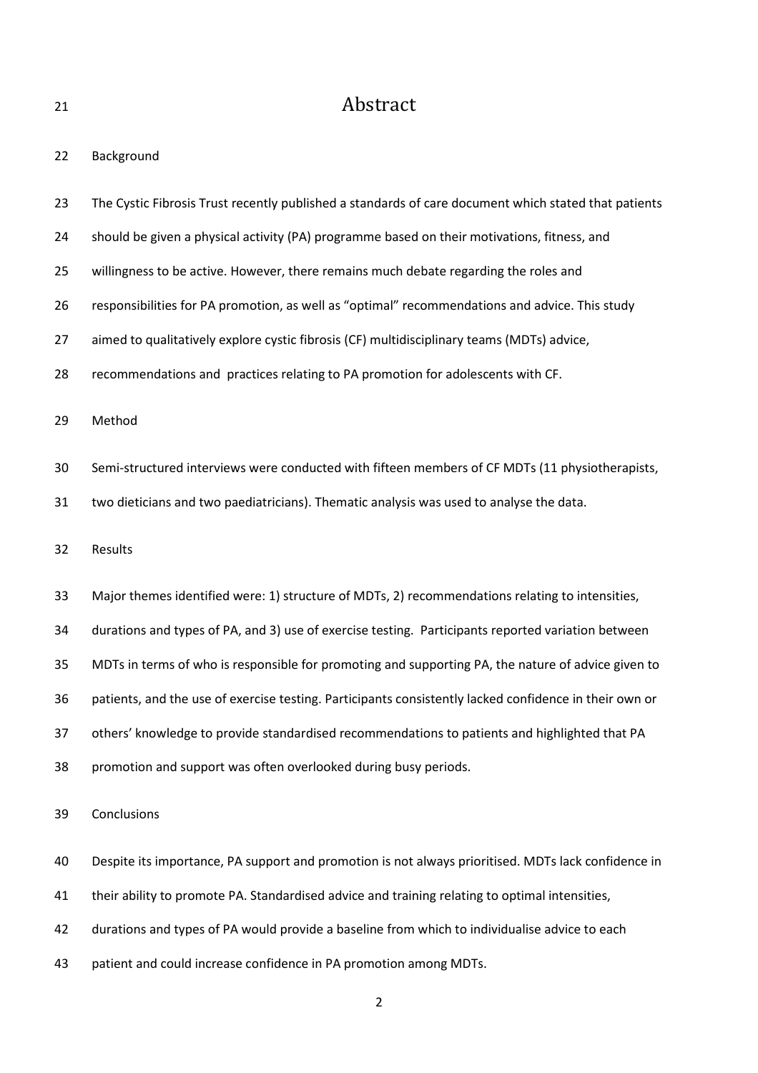## 21 Abstract

| 22 | Background |
|----|------------|
|----|------------|

- 23 The Cystic Fibrosis Trust recently published a standards of care document which stated that patients
- 24 should be given a physical activity (PA) programme based on their motivations, fitness, and
- 25 willingness to be active. However, there remains much debate regarding the roles and
- 26 responsibilities for PA promotion, as well as "optimal" recommendations and advice. This study
- 27 aimed to qualitatively explore cystic fibrosis (CF) multidisciplinary teams (MDTs) advice,
- 28 recommendations and practices relating to PA promotion for adolescents with CF.
- 29 Method
- 30 Semi-structured interviews were conducted with fifteen members of CF MDTs (11 physiotherapists,
- 31 two dieticians and two paediatricians). Thematic analysis was used to analyse the data.
- 32 Results
- 33 Major themes identified were: 1) structure of MDTs, 2) recommendations relating to intensities,
- 34 durations and types of PA, and 3) use of exercise testing. Participants reported variation between
- 35 MDTs in terms of who is responsible for promoting and supporting PA, the nature of advice given to
- 36 patients, and the use of exercise testing. Participants consistently lacked confidence in their own or
- 37 others' knowledge to provide standardised recommendations to patients and highlighted that PA
- 38 promotion and support was often overlooked during busy periods.
- 39 Conclusions
- 40 Despite its importance, PA support and promotion is not always prioritised. MDTs lack confidence in
- 41 their ability to promote PA. Standardised advice and training relating to optimal intensities,
- 42 durations and types of PA would provide a baseline from which to individualise advice to each
- 43 patient and could increase confidence in PA promotion among MDTs.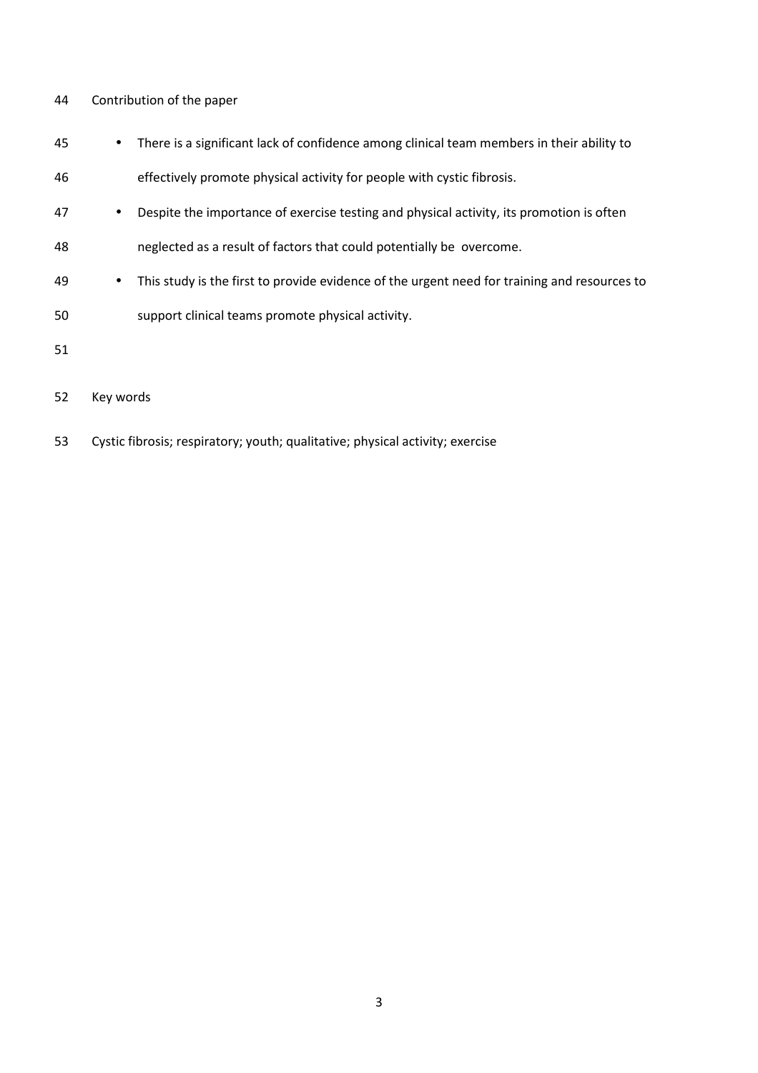#### 44 Contribution of the paper

- 45 There is a significant lack of confidence among clinical team members in their ability to
- 46 effectively promote physical activity for people with cystic fibrosis.
- 47 Despite the importance of exercise testing and physical activity, its promotion is often
- 48 neglected as a result of factors that could potentially be overcome.
- 49 This study is the first to provide evidence of the urgent need for training and resources to
- 50 support clinical teams promote physical activity.
- 51
- 52 Key words
- 53 Cystic fibrosis; respiratory; youth; qualitative; physical activity; exercise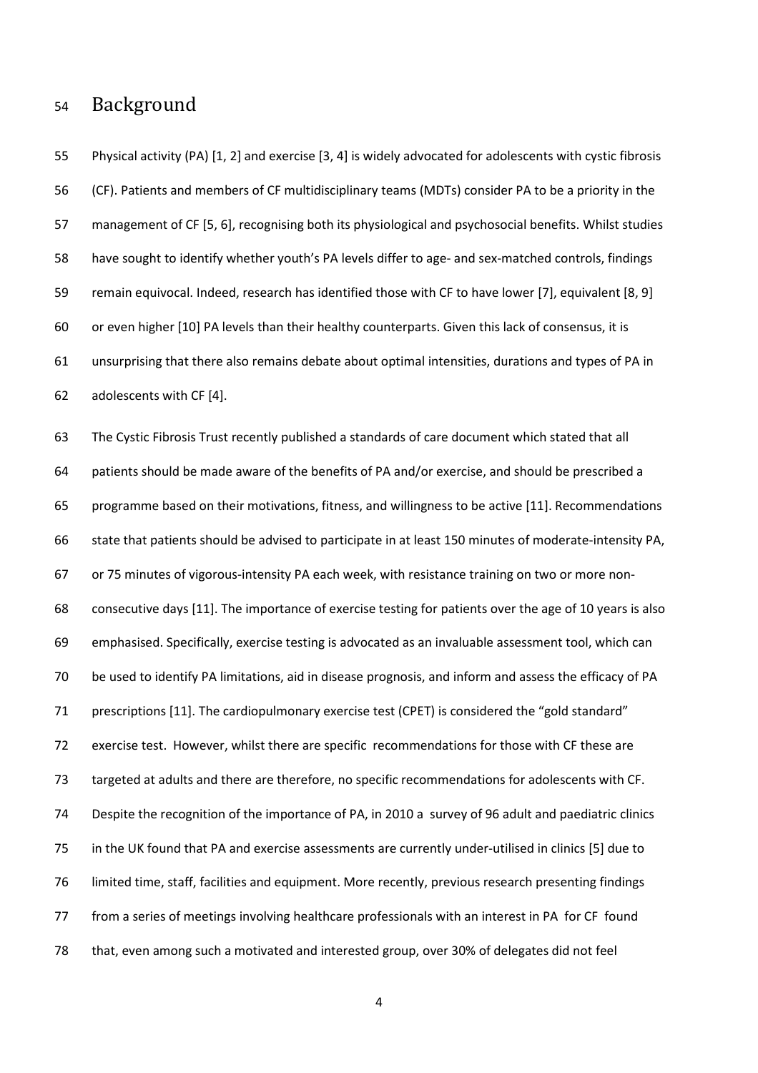## 54 Background

55 Physical activity (PA) [1, 2] and exercise [3, 4] is widely advocated for adolescents with cystic fibrosis 56 (CF). Patients and members of CF multidisciplinary teams (MDTs) consider PA to be a priority in the 57 management of CF [5, 6], recognising both its physiological and psychosocial benefits. Whilst studies 58 have sought to identify whether youth's PA levels differ to age- and sex-matched controls, findings 59 remain equivocal. Indeed, research has identified those with CF to have lower [7], equivalent [8, 9] 60 or even higher [10] PA levels than their healthy counterparts. Given this lack of consensus, it is 61 unsurprising that there also remains debate about optimal intensities, durations and types of PA in 62 adolescents with CF [4].

63 The Cystic Fibrosis Trust recently published a standards of care document which stated that all 64 patients should be made aware of the benefits of PA and/or exercise, and should be prescribed a 65 programme based on their motivations, fitness, and willingness to be active [11]. Recommendations 66 state that patients should be advised to participate in at least 150 minutes of moderate-intensity PA, 67 or 75 minutes of vigorous-intensity PA each week, with resistance training on two or more non-68 consecutive days [11]. The importance of exercise testing for patients over the age of 10 years is also 69 emphasised. Specifically, exercise testing is advocated as an invaluable assessment tool, which can 70 be used to identify PA limitations, aid in disease prognosis, and inform and assess the efficacy of PA 71 prescriptions [11]. The cardiopulmonary exercise test (CPET) is considered the "gold standard" 72 exercise test. However, whilst there are specific recommendations for those with CF these are 73 targeted at adults and there are therefore, no specific recommendations for adolescents with CF. 74 Despite the recognition of the importance of PA, in 2010 a survey of 96 adult and paediatric clinics 75 in the UK found that PA and exercise assessments are currently under-utilised in clinics [5] due to 76 limited time, staff, facilities and equipment. More recently, previous research presenting findings 77 from a series of meetings involving healthcare professionals with an interest in PA for CF found 78 that, even among such a motivated and interested group, over 30% of delegates did not feel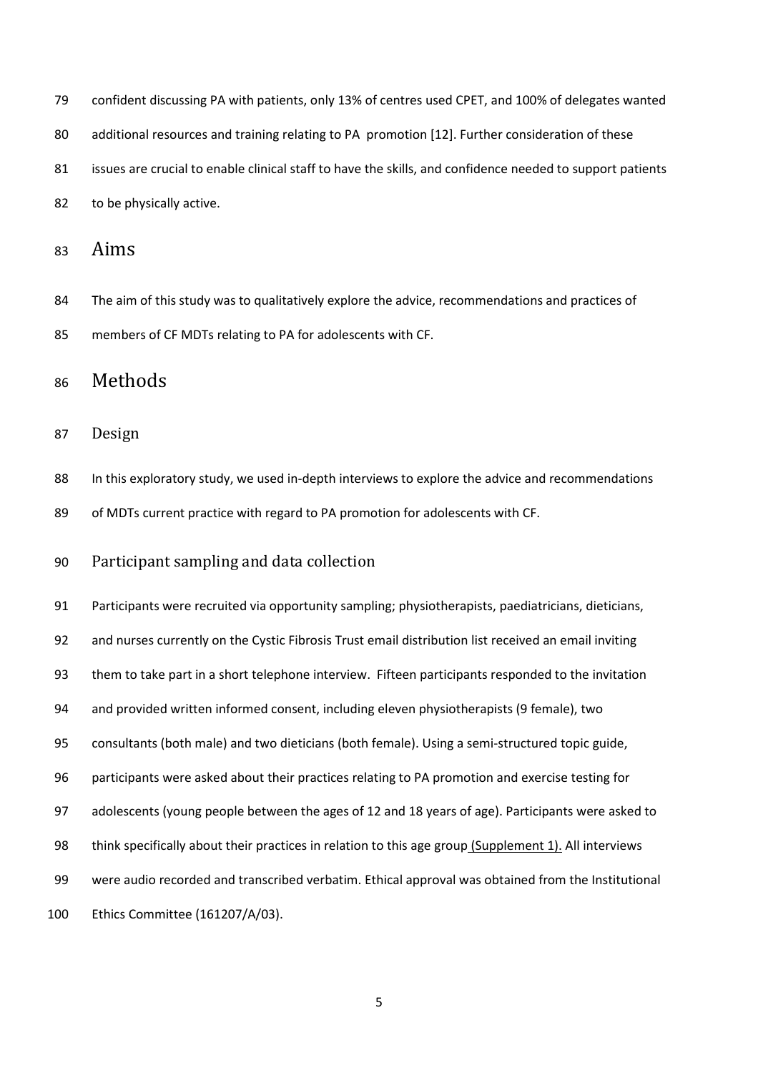| 79 | confident discussing PA with patients, only 13% of centres used CPET, and 100% of delegates wanted        |
|----|-----------------------------------------------------------------------------------------------------------|
| 80 | additional resources and training relating to PA promotion [12]. Further consideration of these           |
| 81 | issues are crucial to enable clinical staff to have the skills, and confidence needed to support patients |
| 82 | to be physically active.                                                                                  |

## <sup>83</sup>Aims

84 The aim of this study was to qualitatively explore the advice, recommendations and practices of 85 members of CF MDTs relating to PA for adolescents with CF.

# <sup>86</sup>Methods

#### 87 Design

88 In this exploratory study, we used in-depth interviews to explore the advice and recommendations 89 of MDTs current practice with regard to PA promotion for adolescents with CF.

### 90 Participant sampling and data collection

91 Participants were recruited via opportunity sampling; physiotherapists, paediatricians, dieticians, 92 and nurses currently on the Cystic Fibrosis Trust email distribution list received an email inviting 93 them to take part in a short telephone interview. Fifteen participants responded to the invitation 94 and provided written informed consent, including eleven physiotherapists (9 female), two 95 consultants (both male) and two dieticians (both female). Using a semi-structured topic guide, 96 participants were asked about their practices relating to PA promotion and exercise testing for 97 adolescents (young people between the ages of 12 and 18 years of age). Participants were asked to 98 think specifically about their practices in relation to this age group (Supplement 1). All interviews 99 were audio recorded and transcribed verbatim. Ethical approval was obtained from the Institutional 100 Ethics Committee (161207/A/03).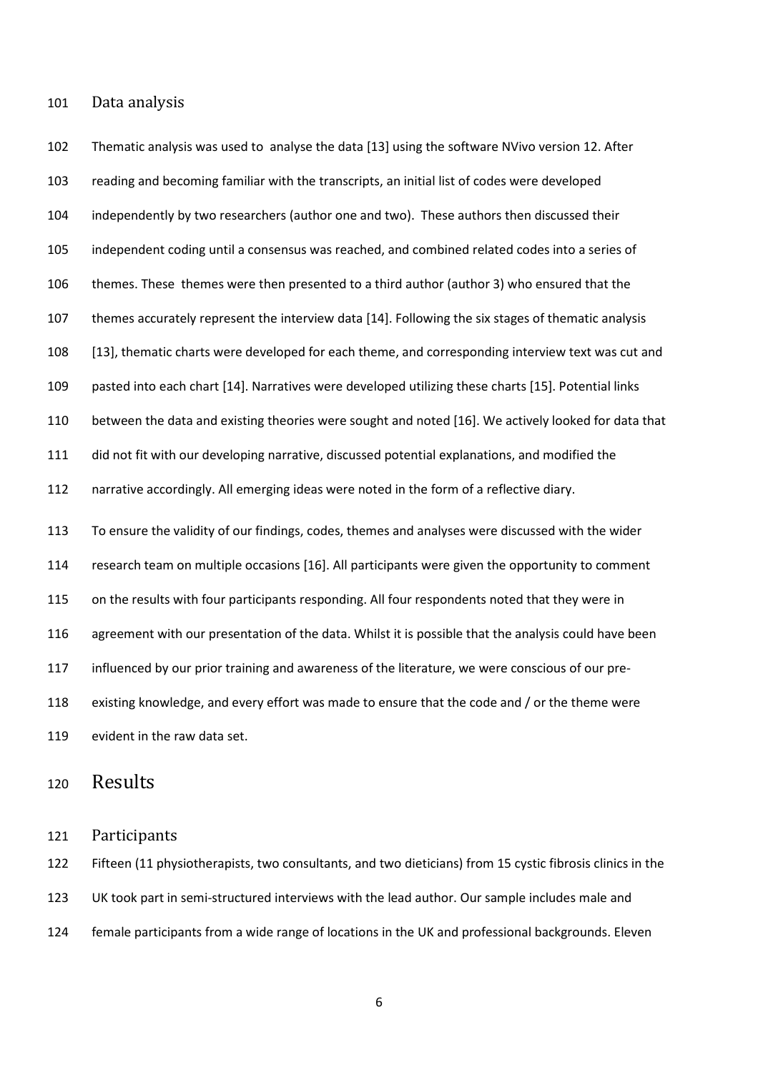101 Data analysis

102 Thematic analysis was used to analyse the data [13] using the software NVivo version 12. After 103 reading and becoming familiar with the transcripts, an initial list of codes were developed 104 independently by two researchers (author one and two). These authors then discussed their 105 independent coding until a consensus was reached, and combined related codes into a series of 106 themes. These themes were then presented to a third author (author 3) who ensured that the 107 themes accurately represent the interview data [14]. Following the six stages of thematic analysis 108 [13], thematic charts were developed for each theme, and corresponding interview text was cut and 109 pasted into each chart [14]. Narratives were developed utilizing these charts [15]. Potential links 110 between the data and existing theories were sought and noted [16]. We actively looked for data that 111 did not fit with our developing narrative, discussed potential explanations, and modified the 112 narrative accordingly. All emerging ideas were noted in the form of a reflective diary. 113 To ensure the validity of our findings, codes, themes and analyses were discussed with the wider 114 research team on multiple occasions [16]. All participants were given the opportunity to comment 115 on the results with four participants responding. All four respondents noted that they were in 116 agreement with our presentation of the data. Whilst it is possible that the analysis could have been 117 influenced by our prior training and awareness of the literature, we were conscious of our pre-118 existing knowledge, and every effort was made to ensure that the code and / or the theme were 119 evident in the raw data set.

### 120 Results

121 Participants 

122 Fifteen (11 physiotherapists, two consultants, and two dieticians) from 15 cystic fibrosis clinics in the 123 UK took part in semi-structured interviews with the lead author. Our sample includes male and 124 female participants from a wide range of locations in the UK and professional backgrounds. Eleven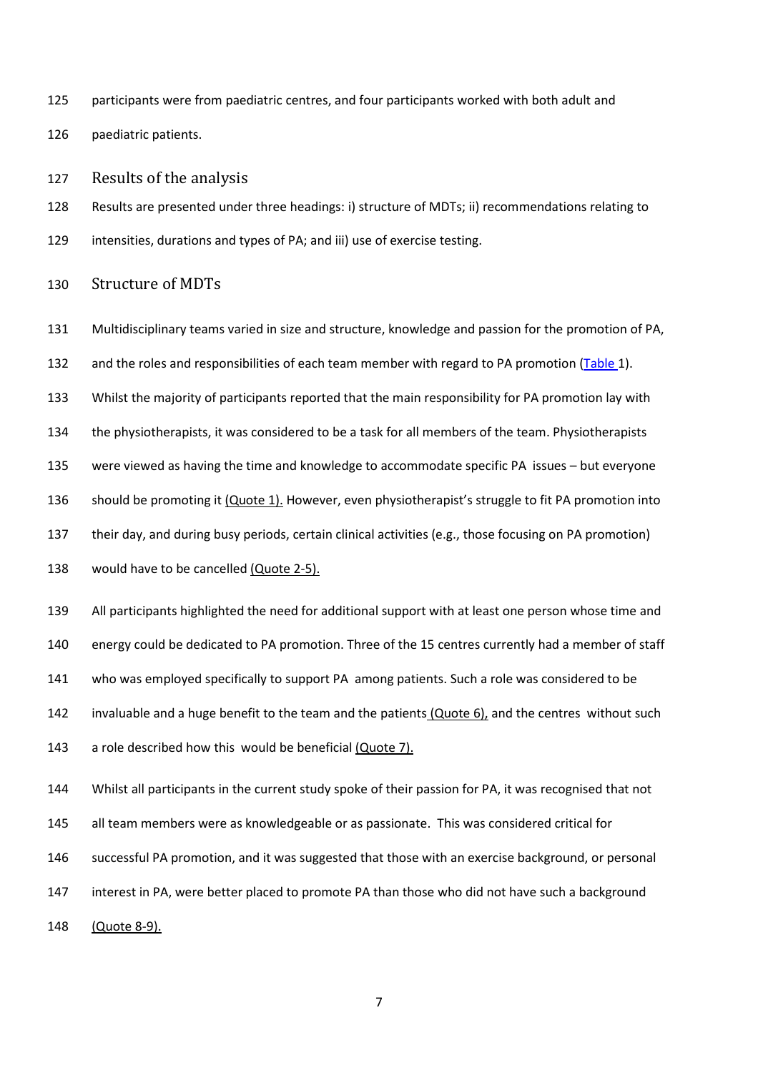125 participants were from paediatric centres, and four participants worked with both adult and

126 paediatric patients.

127 Results of the analysis

128 Results are presented under three headings: i) structure of MDTs; ii) recommendations relating to 129 intensities, durations and types of PA; and iii) use of exercise testing.

#### 130 Structure of MDTs

- 131 Multidisciplinary teams varied in size and structure, knowledge and passion for the promotion of PA,
- 132 and the roles and responsibilities of each team member with regard to PA promotion (Table 1).
- 133 Whilst the majority of participants reported that the main responsibility for PA promotion lay with
- 134 the physiotherapists, it was considered to be a task for all members of the team. Physiotherapists

135 were viewed as having the time and knowledge to accommodate specific PA issues – but everyone

- 136 should be promoting it (Quote 1). However, even physiotherapist's struggle to fit PA promotion into
- 137 their day, and during busy periods, certain clinical activities (e.g., those focusing on PA promotion)
- 138 would have to be cancelled (Quote 2-5).
- 139 All participants highlighted the need for additional support with at least one person whose time and
- 140 energy could be dedicated to PA promotion. Three of the 15 centres currently had a member of staff
- 141 who was employed specifically to support PA among patients. Such a role was considered to be
- 142 invaluable and a huge benefit to the team and the patients  $(Quote 6)$ , and the centres without such
- 143 a role described how this would be beneficial (Quote 7).
- 144 Whilst all participants in the current study spoke of their passion for PA, it was recognised that not
- 145 all team members were as knowledgeable or as passionate. This was considered critical for
- 146 successful PA promotion, and it was suggested that those with an exercise background, or personal
- 147 interest in PA, were better placed to promote PA than those who did not have such a background
- 148 (Quote 8-9).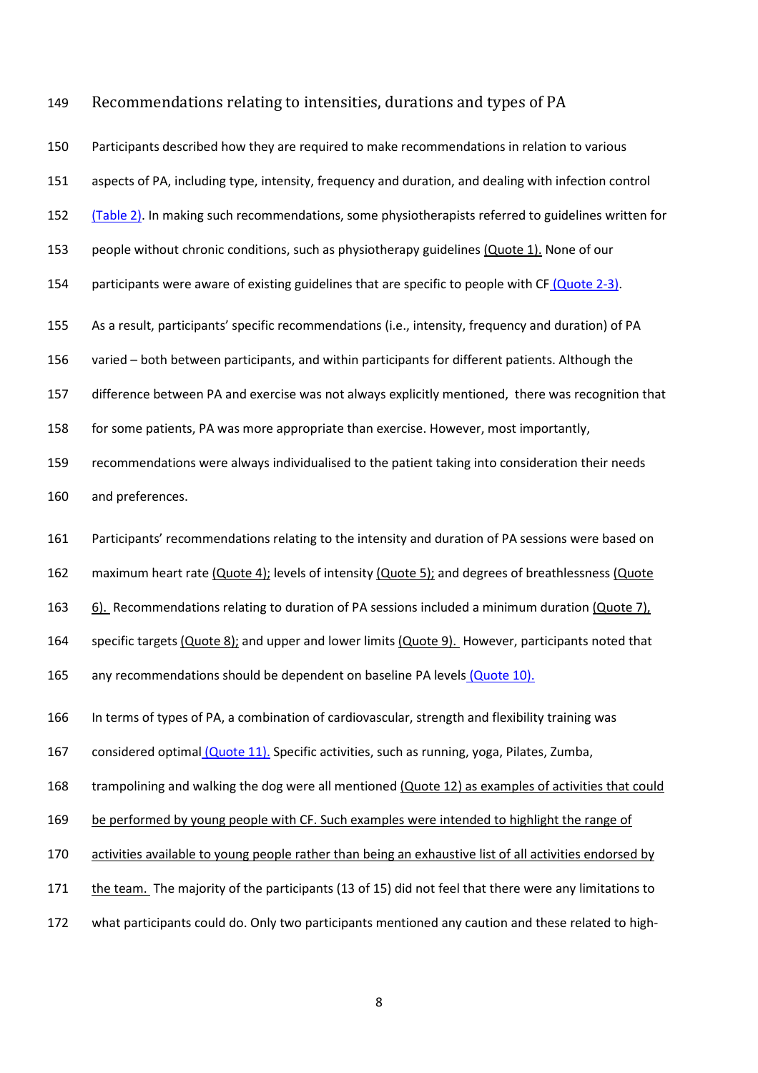#### 149 Recommendations relating to intensities, durations and types of PA

150 Participants described how they are required to make recommendations in relation to various 151 aspects of PA, including type, intensity, frequency and duration, and dealing with infection control 152 (Table 2). In making such recommendations, some physiotherapists referred to guidelines written for 153 people without chronic conditions, such as physiotherapy guidelines (Quote 1). None of our 154 participants were aware of existing guidelines that are specific to people with CF (Quote 2-3). 155 As a result, participants' specific recommendations (i.e., intensity, frequency and duration) of PA 156 varied – both between participants, and within participants for different patients. Although the 157 difference between PA and exercise was not always explicitly mentioned, there was recognition that 158 for some patients, PA was more appropriate than exercise. However, most importantly, 159 recommendations were always individualised to the patient taking into consideration their needs 160 and preferences. 161 Participants' recommendations relating to the intensity and duration of PA sessions were based on 162 maximum heart rate (Quote 4); levels of intensity (Quote 5); and degrees of breathlessness (Quote 163 6). Recommendations relating to duration of PA sessions included a minimum duration (Quote 7), 164 specific targets (Quote 8); and upper and lower limits (Quote 9). However, participants noted that 165 any recommendations should be dependent on baseline PA levels (Quote 10). 166 In terms of types of PA, a combination of cardiovascular, strength and flexibility training was 167 considered optimal (Quote 11). Specific activities, such as running, yoga, Pilates, Zumba, 168 trampolining and walking the dog were all mentioned (Quote 12) as examples of activities that could 169 be performed by young people with CF. Such examples were intended to highlight the range of 170 activities available to young people rather than being an exhaustive list of all activities endorsed by 171 the team. The majority of the participants (13 of 15) did not feel that there were any limitations to

172 what participants could do. Only two participants mentioned any caution and these related to high-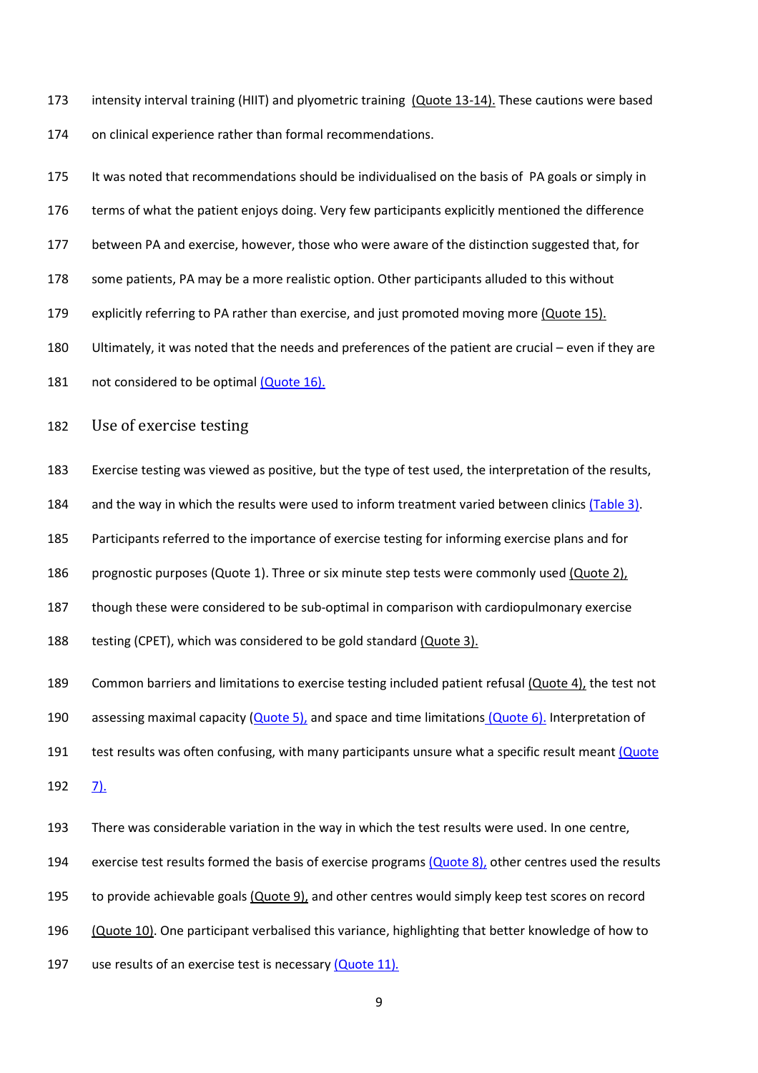173 intensity interval training (HIIT) and plyometric training (Quote 13-14). These cautions were based 174 on clinical experience rather than formal recommendations.

175 It was noted that recommendations should be individualised on the basis of PA goals or simply in 176 terms of what the patient enjoys doing. Very few participants explicitly mentioned the difference 177 between PA and exercise, however, those who were aware of the distinction suggested that, for 178 some patients, PA may be a more realistic option. Other participants alluded to this without 179 explicitly referring to PA rather than exercise, and just promoted moving more (Quote 15). 180 Ultimately, it was noted that the needs and preferences of the patient are crucial – even if they are 181 not considered to be optimal (Quote 16).

182 Use of exercise testing

183 Exercise testing was viewed as positive, but the type of test used, the interpretation of the results,

184 and the way in which the results were used to inform treatment varied between clinics (Table 3).

185 Participants referred to the importance of exercise testing for informing exercise plans and for

186 prognostic purposes (Quote 1). Three or six minute step tests were commonly used (Quote 2),

187 though these were considered to be sub-optimal in comparison with cardiopulmonary exercise

188 testing (CPET), which was considered to be gold standard (Quote 3).

189 Common barriers and limitations to exercise testing included patient refusal (Quote 4), the test not

190 assessing maximal capacity (Quote 5), and space and time limitations (Quote 6). Interpretation of

191 test results was often confusing, with many participants unsure what a specific result meant (Quote

192 7).

193 There was considerable variation in the way in which the test results were used. In one centre,

194 exercise test results formed the basis of exercise programs (Quote 8), other centres used the results

195 to provide achievable goals (Quote 9), and other centres would simply keep test scores on record

196 (Quote 10). One participant verbalised this variance, highlighting that better knowledge of how to

197 use results of an exercise test is necessary (Quote 11)*.*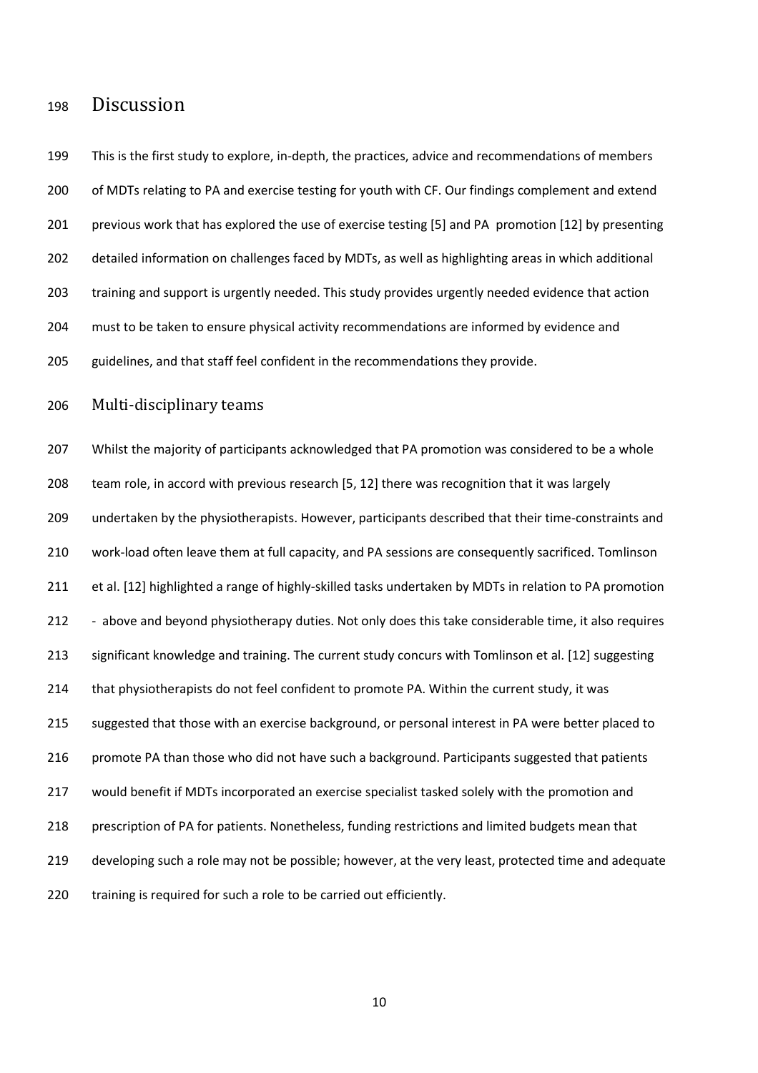## <sup>198</sup>Discussion

199 This is the first study to explore, in-depth, the practices, advice and recommendations of members 200 of MDTs relating to PA and exercise testing for youth with CF. Our findings complement and extend 201 previous work that has explored the use of exercise testing [5] and PA promotion [12] by presenting 202 detailed information on challenges faced by MDTs, as well as highlighting areas in which additional 203 training and support is urgently needed. This study provides urgently needed evidence that action 204 must to be taken to ensure physical activity recommendations are informed by evidence and 205 guidelines, and that staff feel confident in the recommendations they provide. 206 Multi-disciplinary teams 207 Whilst the majority of participants acknowledged that PA promotion was considered to be a whole 208 team role, in accord with previous research [5, 12] there was recognition that it was largely 209 undertaken by the physiotherapists. However, participants described that their time-constraints and 210 work-load often leave them at full capacity, and PA sessions are consequently sacrificed. Tomlinson 211 et al. [12] highlighted a range of highly-skilled tasks undertaken by MDTs in relation to PA promotion 212 - above and beyond physiotherapy duties. Not only does this take considerable time, it also requires 213 significant knowledge and training. The current study concurs with Tomlinson et al. [12] suggesting 214 that physiotherapists do not feel confident to promote PA. Within the current study, it was 215 suggested that those with an exercise background, or personal interest in PA were better placed to 216 promote PA than those who did not have such a background. Participants suggested that patients 217 would benefit if MDTs incorporated an exercise specialist tasked solely with the promotion and 218 prescription of PA for patients. Nonetheless, funding restrictions and limited budgets mean that 219 developing such a role may not be possible; however, at the very least, protected time and adequate 220 training is required for such a role to be carried out efficiently.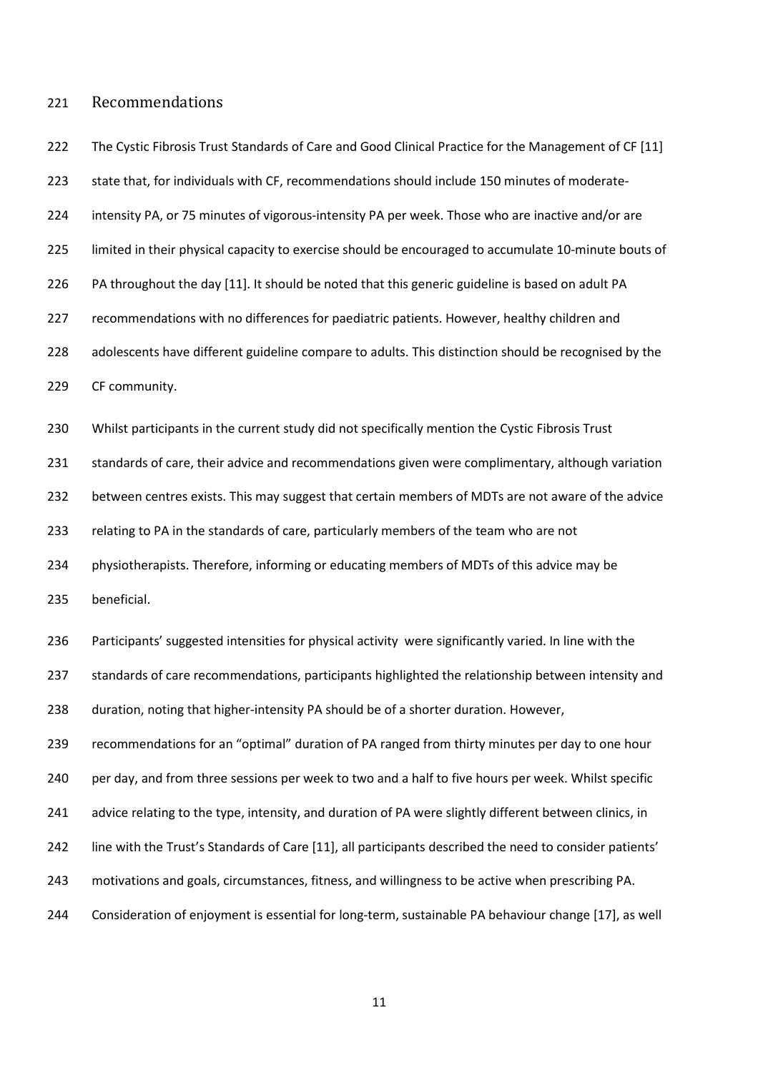#### 221 Recommendations

222 The Cystic Fibrosis Trust Standards of Care and Good Clinical Practice for the Management of CF [11] 223 state that, for individuals with CF, recommendations should include 150 minutes of moderate-224 intensity PA, or 75 minutes of vigorous-intensity PA per week. Those who are inactive and/or are 225 limited in their physical capacity to exercise should be encouraged to accumulate 10-minute bouts of 226 PA throughout the day [11]. It should be noted that this generic guideline is based on adult PA 227 recommendations with no differences for paediatric patients. However, healthy children and 228 adolescents have different guideline compare to adults. This distinction should be recognised by the 229 CF community.

230 Whilst participants in the current study did not specifically mention the Cystic Fibrosis Trust 231 standards of care, their advice and recommendations given were complimentary, although variation 232 between centres exists. This may suggest that certain members of MDTs are not aware of the advice 233 relating to PA in the standards of care, particularly members of the team who are not 234 physiotherapists. Therefore, informing or educating members of MDTs of this advice may be

235 beneficial.

236 Participants' suggested intensities for physical activity were significantly varied. In line with the 237 standards of care recommendations, participants highlighted the relationship between intensity and 238 duration, noting that higher-intensity PA should be of a shorter duration. However, 239 recommendations for an "optimal" duration of PA ranged from thirty minutes per day to one hour 240 per day, and from three sessions per week to two and a half to five hours per week. Whilst specific 241 advice relating to the type, intensity, and duration of PA were slightly different between clinics, in 242 line with the Trust's Standards of Care [11], all participants described the need to consider patients'

- 243 motivations and goals, circumstances, fitness, and willingness to be active when prescribing PA.
- 244 Consideration of enjoyment is essential for long-term, sustainable PA behaviour change [17], as well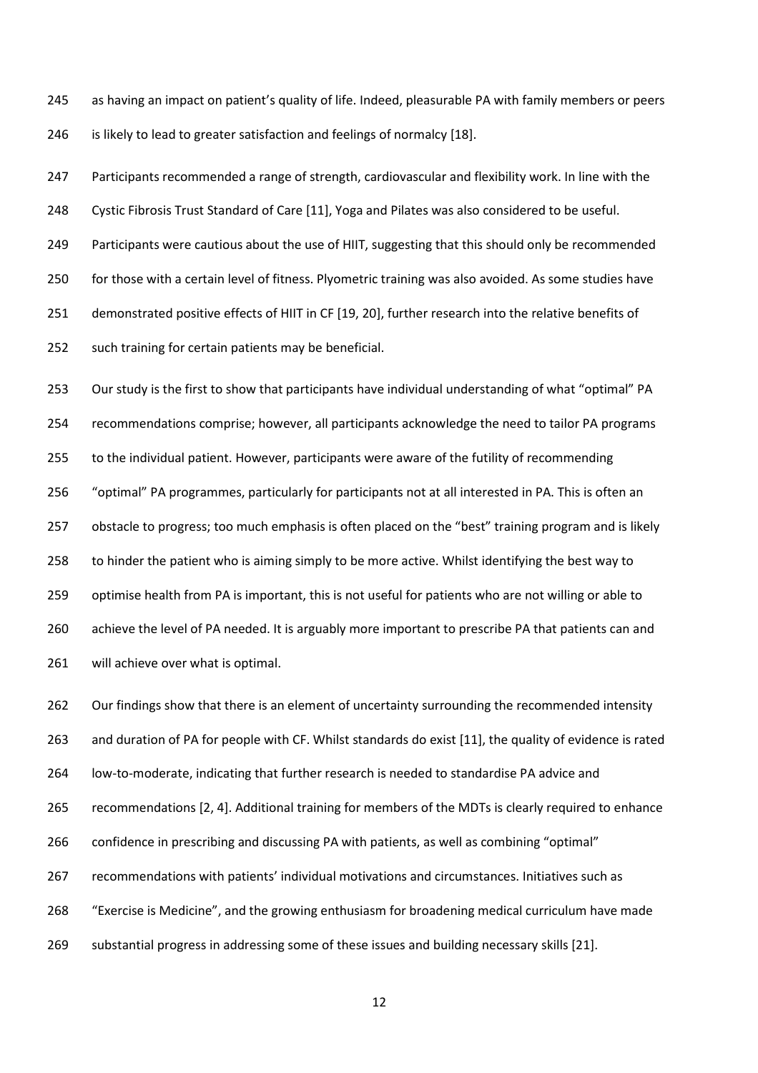245 as having an impact on patient's quality of life. Indeed, pleasurable PA with family members or peers 246 is likely to lead to greater satisfaction and feelings of normalcy [18].

247 Participants recommended a range of strength, cardiovascular and flexibility work. In line with the 248 Cystic Fibrosis Trust Standard of Care [11], Yoga and Pilates was also considered to be useful. 249 Participants were cautious about the use of HIIT, suggesting that this should only be recommended 250 for those with a certain level of fitness. Plyometric training was also avoided. As some studies have 251 demonstrated positive effects of HIIT in CF [19, 20], further research into the relative benefits of 252 such training for certain patients may be beneficial.

253 Our study is the first to show that participants have individual understanding of what "optimal" PA 254 recommendations comprise; however, all participants acknowledge the need to tailor PA programs 255 to the individual patient. However, participants were aware of the futility of recommending 256 "optimal" PA programmes, particularly for participants not at all interested in PA. This is often an 257 obstacle to progress; too much emphasis is often placed on the "best" training program and is likely 258 to hinder the patient who is aiming simply to be more active. Whilst identifying the best way to 259 optimise health from PA is important, this is not useful for patients who are not willing or able to 260 achieve the level of PA needed. It is arguably more important to prescribe PA that patients can and 261 will achieve over what is optimal.

262 Our findings show that there is an element of uncertainty surrounding the recommended intensity 263 and duration of PA for people with CF. Whilst standards do exist [11], the quality of evidence is rated 264 low-to-moderate, indicating that further research is needed to standardise PA advice and 265 recommendations [2, 4]. Additional training for members of the MDTs is clearly required to enhance 266 confidence in prescribing and discussing PA with patients, as well as combining "optimal" 267 recommendations with patients' individual motivations and circumstances. Initiatives such as 268 "Exercise is Medicine", and the growing enthusiasm for broadening medical curriculum have made 269 substantial progress in addressing some of these issues and building necessary skills [21].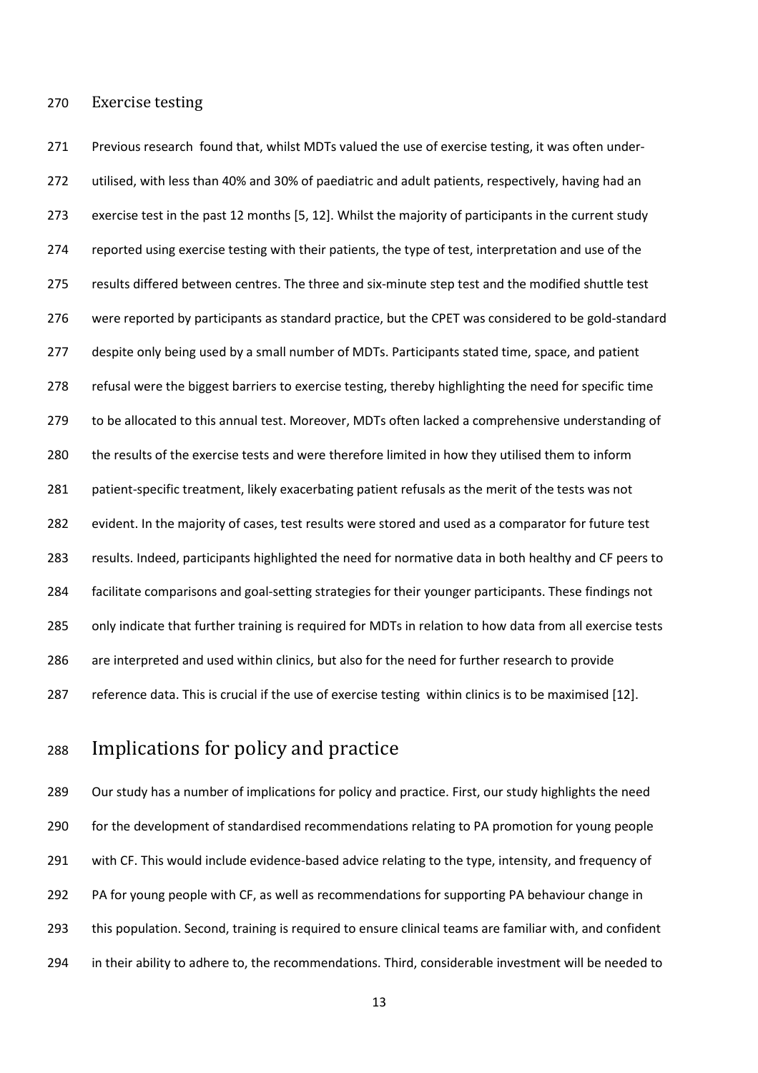270 Exercise testing

271 Previous research found that, whilst MDTs valued the use of exercise testing, it was often under-272 utilised, with less than 40% and 30% of paediatric and adult patients, respectively, having had an 273 exercise test in the past 12 months [5, 12]. Whilst the majority of participants in the current study 274 reported using exercise testing with their patients, the type of test, interpretation and use of the 275 results differed between centres. The three and six-minute step test and the modified shuttle test 276 were reported by participants as standard practice, but the CPET was considered to be gold-standard 277 despite only being used by a small number of MDTs. Participants stated time, space, and patient 278 refusal were the biggest barriers to exercise testing, thereby highlighting the need for specific time 279 to be allocated to this annual test. Moreover, MDTs often lacked a comprehensive understanding of 280 the results of the exercise tests and were therefore limited in how they utilised them to inform 281 patient-specific treatment, likely exacerbating patient refusals as the merit of the tests was not 282 evident. In the majority of cases, test results were stored and used as a comparator for future test 283 results. Indeed, participants highlighted the need for normative data in both healthy and CF peers to 284 facilitate comparisons and goal-setting strategies for their younger participants. These findings not 285 only indicate that further training is required for MDTs in relation to how data from all exercise tests 286 are interpreted and used within clinics, but also for the need for further research to provide 287 reference data. This is crucial if the use of exercise testing within clinics is to be maximised [12].

# 288 Implications for policy and practice

289 Our study has a number of implications for policy and practice. First, our study highlights the need 290 for the development of standardised recommendations relating to PA promotion for young people 291 with CF. This would include evidence-based advice relating to the type, intensity, and frequency of 292 PA for young people with CF, as well as recommendations for supporting PA behaviour change in 293 this population. Second, training is required to ensure clinical teams are familiar with, and confident 294 in their ability to adhere to, the recommendations. Third, considerable investment will be needed to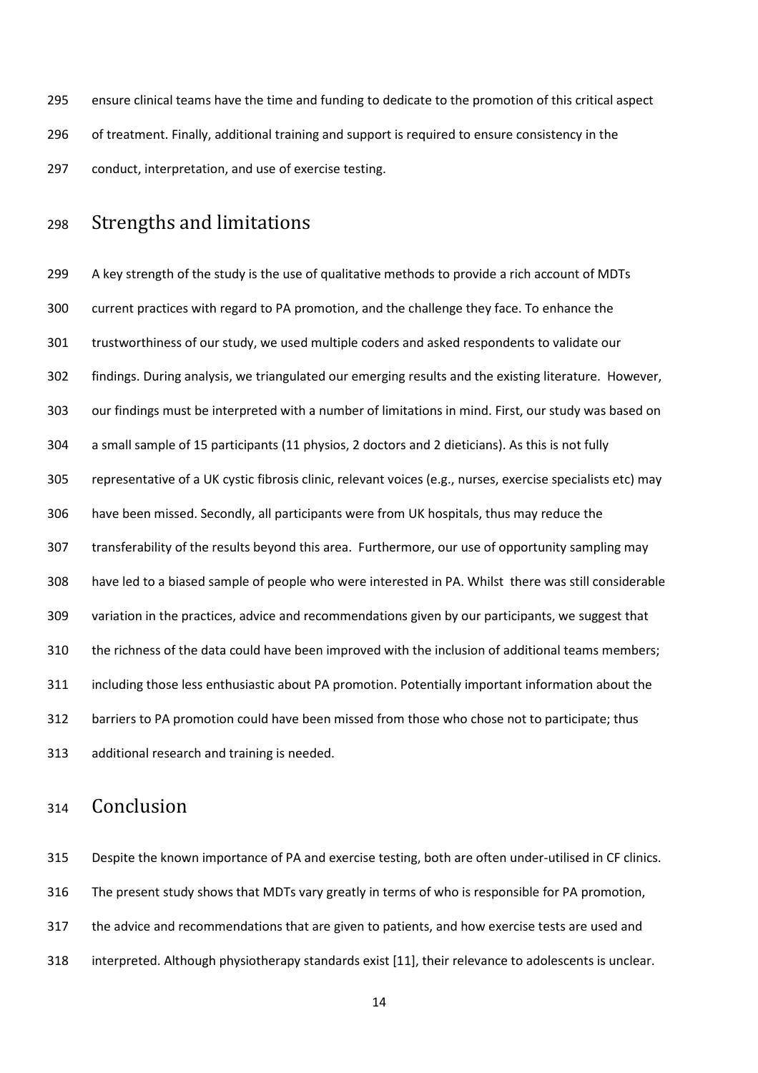295 ensure clinical teams have the time and funding to dedicate to the promotion of this critical aspect 296 of treatment. Finally, additional training and support is required to ensure consistency in the 297 conduct, interpretation, and use of exercise testing.

# 298 Strengths and limitations

299 A key strength of the study is the use of qualitative methods to provide a rich account of MDTs 300 current practices with regard to PA promotion, and the challenge they face. To enhance the 301 trustworthiness of our study, we used multiple coders and asked respondents to validate our 302 findings. During analysis, we triangulated our emerging results and the existing literature. However, 303 our findings must be interpreted with a number of limitations in mind. First, our study was based on 304 a small sample of 15 participants (11 physios, 2 doctors and 2 dieticians). As this is not fully 305 representative of a UK cystic fibrosis clinic, relevant voices (e.g., nurses, exercise specialists etc) may 306 have been missed. Secondly, all participants were from UK hospitals, thus may reduce the 307 transferability of the results beyond this area. Furthermore, our use of opportunity sampling may 308 have led to a biased sample of people who were interested in PA. Whilst there was still considerable 309 variation in the practices, advice and recommendations given by our participants, we suggest that 310 the richness of the data could have been improved with the inclusion of additional teams members; 311 including those less enthusiastic about PA promotion. Potentially important information about the 312 barriers to PA promotion could have been missed from those who chose not to participate; thus 313 additional research and training is needed.

# 314 Conclusion

315 Despite the known importance of PA and exercise testing, both are often under-utilised in CF clinics. 316 The present study shows that MDTs vary greatly in terms of who is responsible for PA promotion, 317 the advice and recommendations that are given to patients, and how exercise tests are used and 318 interpreted. Although physiotherapy standards exist [11], their relevance to adolescents is unclear.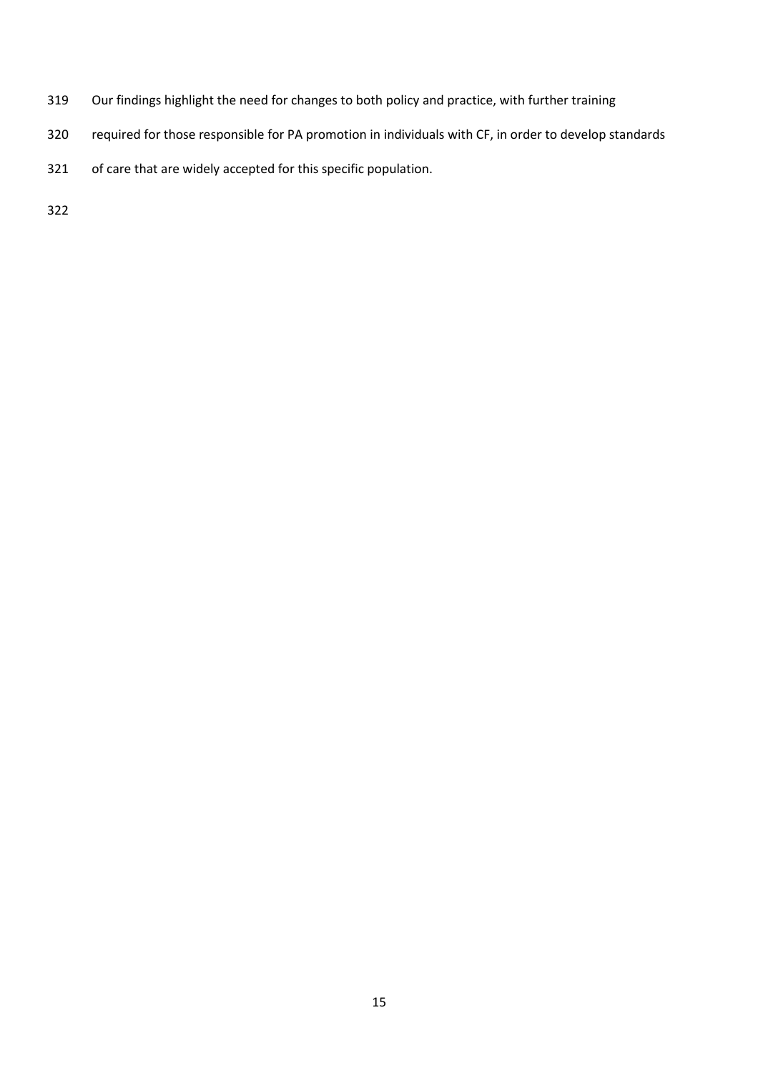- 319 Our findings highlight the need for changes to both policy and practice, with further training
- 320 required for those responsible for PA promotion in individuals with CF, in order to develop standards
- 321 of care that are widely accepted for this specific population.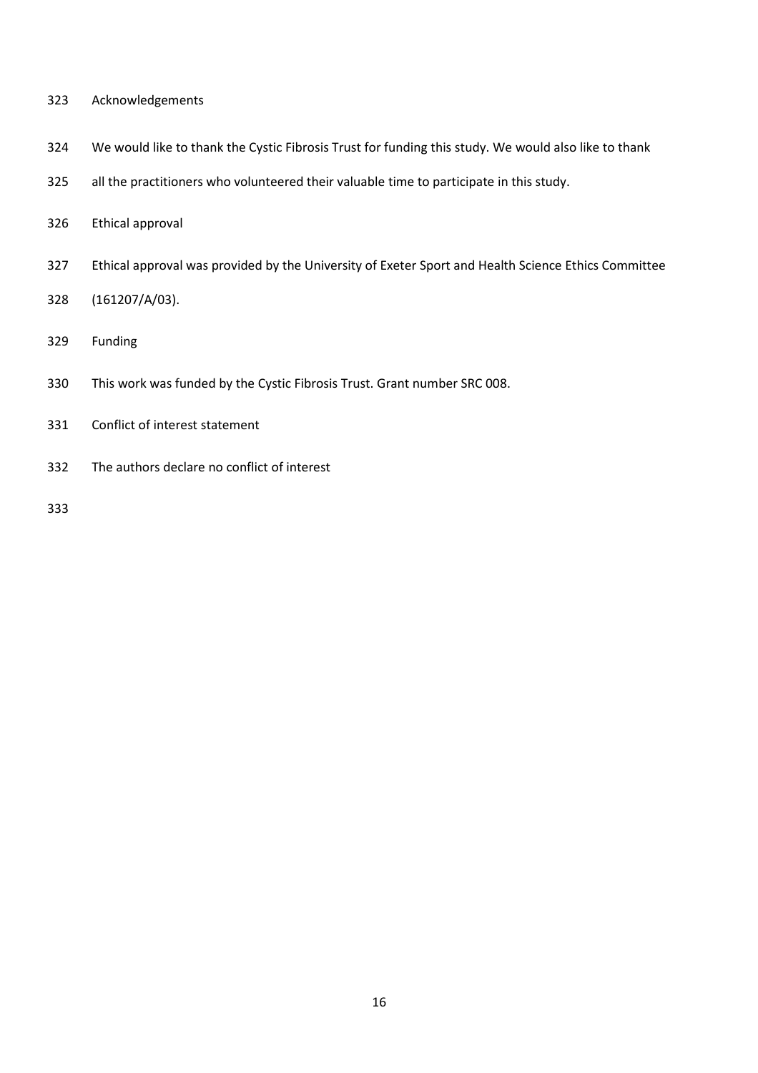- 323 Acknowledgements
- 324 We would like to thank the Cystic Fibrosis Trust for funding this study. We would also like to thank
- 325 all the practitioners who volunteered their valuable time to participate in this study.
- 326 Ethical approval
- 327 Ethical approval was provided by the University of Exeter Sport and Health Science Ethics Committee
- 328 (161207/A/03).
- 329 Funding
- 330 This work was funded by the Cystic Fibrosis Trust. Grant number SRC 008.
- 331 Conflict of interest statement
- 332 The authors declare no conflict of interest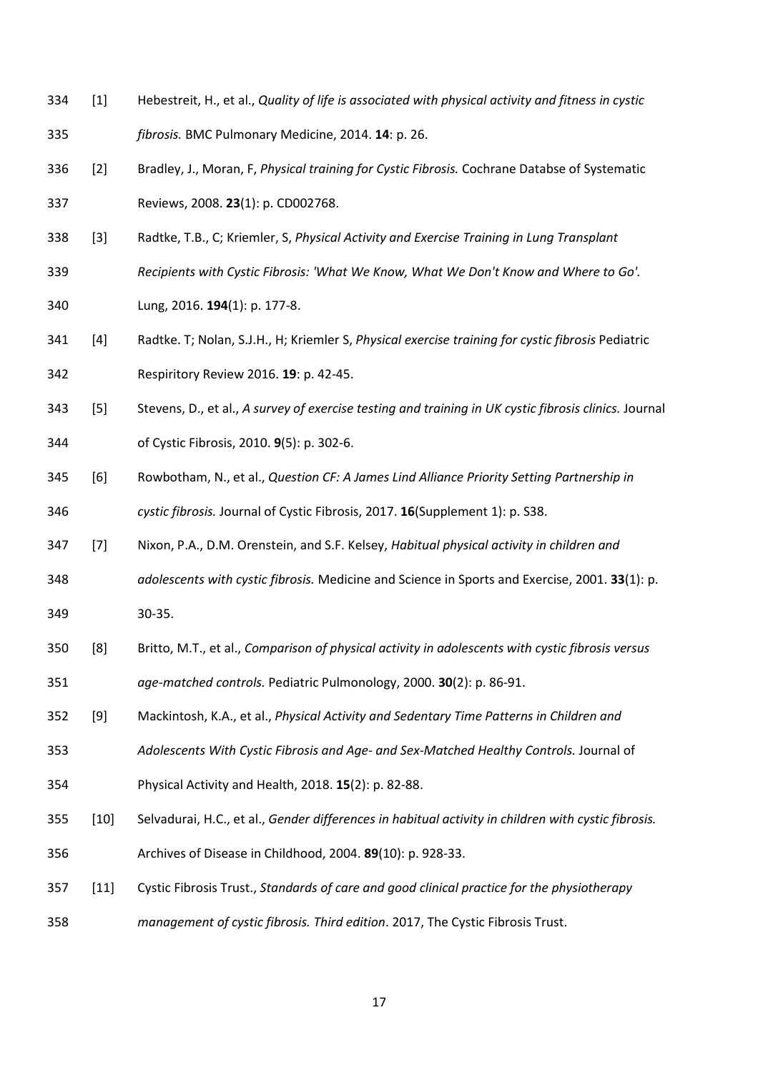- 334 [1] Hebestreit, H., et al., *Quality of life is associated with physical activity and fitness in cystic*
- 335 *fibrosis.* BMC Pulmonary Medicine, 2014. **14**: p. 26.
- 336 [2] Bradley, J., Moran, F, *Physical training for Cystic Fibrosis.* Cochrane Databse of Systematic 337 Reviews, 2008. **23**(1): p. CD002768.
- 338 [3] Radtke, T.B., C; Kriemler, S, *Physical Activity and Exercise Training in Lung Transplant*
- 339 *Recipients with Cystic Fibrosis: 'What We Know, What We Don't Know and Where to Go'.*
- 340 Lung, 2016. **194**(1): p. 177-8.
- 341 [4] Radtke. T; Nolan, S.J.H., H; Kriemler S, *Physical exercise training for cystic fibrosis* Pediatric 342 Respiritory Review 2016. **19**: p. 42-45.
- 343 [5] Stevens, D., et al., *A survey of exercise testing and training in UK cystic fibrosis clinics.* Journal 344 of Cystic Fibrosis, 2010. **9**(5): p. 302-6.
- 345 [6] Rowbotham, N., et al., *Question CF: A James Lind Alliance Priority Setting Partnership in*  346 *cystic fibrosis.* Journal of Cystic Fibrosis, 2017. **16**(Supplement 1): p. S38.
- 347 [7] Nixon, P.A., D.M. Orenstein, and S.F. Kelsey, *Habitual physical activity in children and*
- 348 *adolescents with cystic fibrosis.* Medicine and Science in Sports and Exercise, 2001. **33**(1): p. 349 30-35.
- 
- 350 [8] Britto, M.T., et al., *Comparison of physical activity in adolescents with cystic fibrosis versus*  351 *age-matched controls.* Pediatric Pulmonology, 2000. **30**(2): p. 86-91.
- 352 [9] Mackintosh, K.A., et al., *Physical Activity and Sedentary Time Patterns in Children and*
- 353 *Adolescents With Cystic Fibrosis and Age- and Sex-Matched Healthy Controls.* Journal of
- 354 Physical Activity and Health, 2018. **15**(2): p. 82-88.
- 355 [10] Selvadurai, H.C., et al., *Gender differences in habitual activity in children with cystic fibrosis.*
- 356 Archives of Disease in Childhood, 2004. **89**(10): p. 928-33.
- 357 [11] Cystic Fibrosis Trust., *Standards of care and good clinical practice for the physiotherapy*

358 *management of cystic fibrosis. Third edition*. 2017, The Cystic Fibrosis Trust.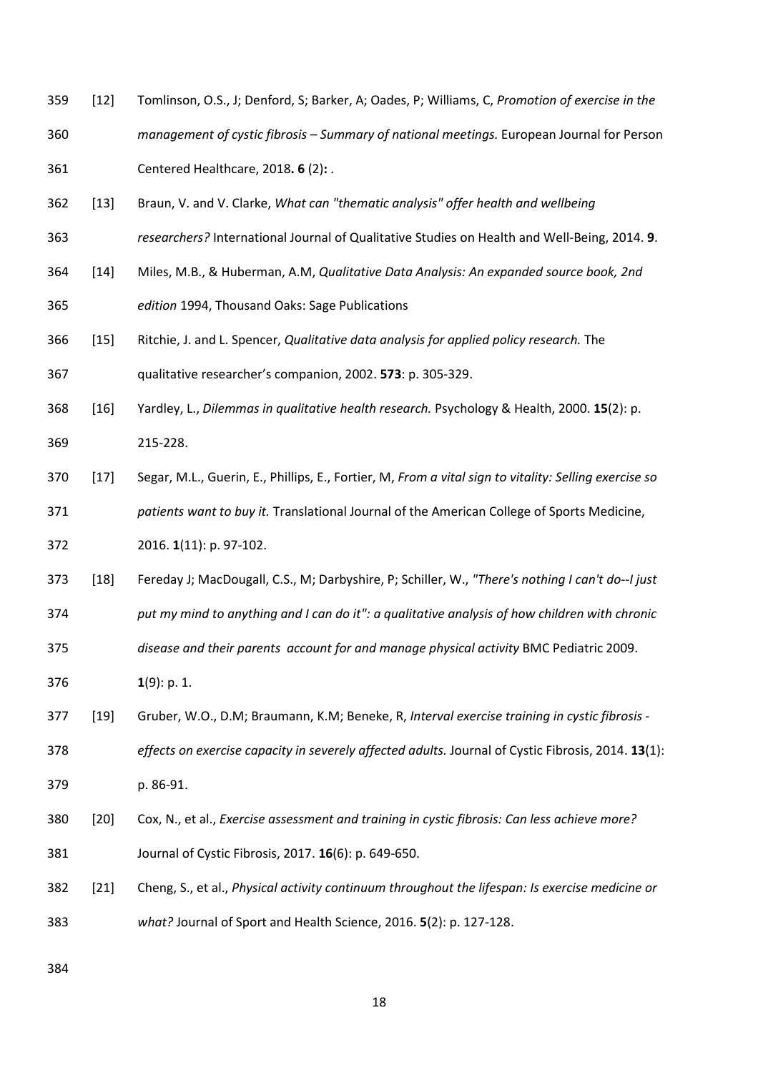- 359 [12] Tomlinson, O.S., J; Denford, S; Barker, A; Oades, P; Williams, C, *Promotion of exercise in the*
- 360 *management of cystic fibrosis Summary of national meetings.* European Journal for Person 361 Centered Healthcare, 2018**. 6** (2)**:** .
- 362 [13] Braun, V. and V. Clarke, *What can "thematic analysis" offer health and wellbeing*
- 363 *researchers?* International Journal of Qualitative Studies on Health and Well-Being, 2014. **9**.
- 364 [14] Miles, M.B., & Huberman, A.M, *Qualitative Data Analysis: An expanded source book, 2nd*  365 *edition* 1994, Thousand Oaks: Sage Publications
- 366 [15] Ritchie, J. and L. Spencer, *Qualitative data analysis for applied policy research.* The 367 qualitative researcher's companion, 2002. **573**: p. 305-329.
- 368 [16] Yardley, L., *Dilemmas in qualitative health research.* Psychology & Health, 2000. **15**(2): p. 369 215-228.
- 370 [17] Segar, M.L., Guerin, E., Phillips, E., Fortier, M, *From a vital sign to vitality: Selling exercise so*  371 *patients want to buy it.* Translational Journal of the American College of Sports Medicine,
- 372 2016. **1**(11): p. 97-102.
- 373 [18] Fereday J; MacDougall, C.S., M; Darbyshire, P; Schiller, W., *"There's nothing I can't do--I just*  374 *put my mind to anything and I can do it": a qualitative analysis of how children with chronic*
- 375 *disease and their parents account for and manage physical activity* BMC Pediatric 2009.
- 376 **1**(9): p. 1.
- 377 [19] Gruber, W.O., D.M; Braumann, K.M; Beneke, R, *Interval exercise training in cystic fibrosis*
- 378 *effects on exercise capacity in severely affected adults.* Journal of Cystic Fibrosis, 2014. **13**(1):
- 379 p. 86-91.
- 380 [20] Cox, N., et al., *Exercise assessment and training in cystic fibrosis: Can less achieve more?* 381 Journal of Cystic Fibrosis, 2017. **16**(6): p. 649-650.
- 382 [21] Cheng, S., et al., *Physical activity continuum throughout the lifespan: Is exercise medicine or*  383 *what?* Journal of Sport and Health Science, 2016. **5**(2): p. 127-128.
- 384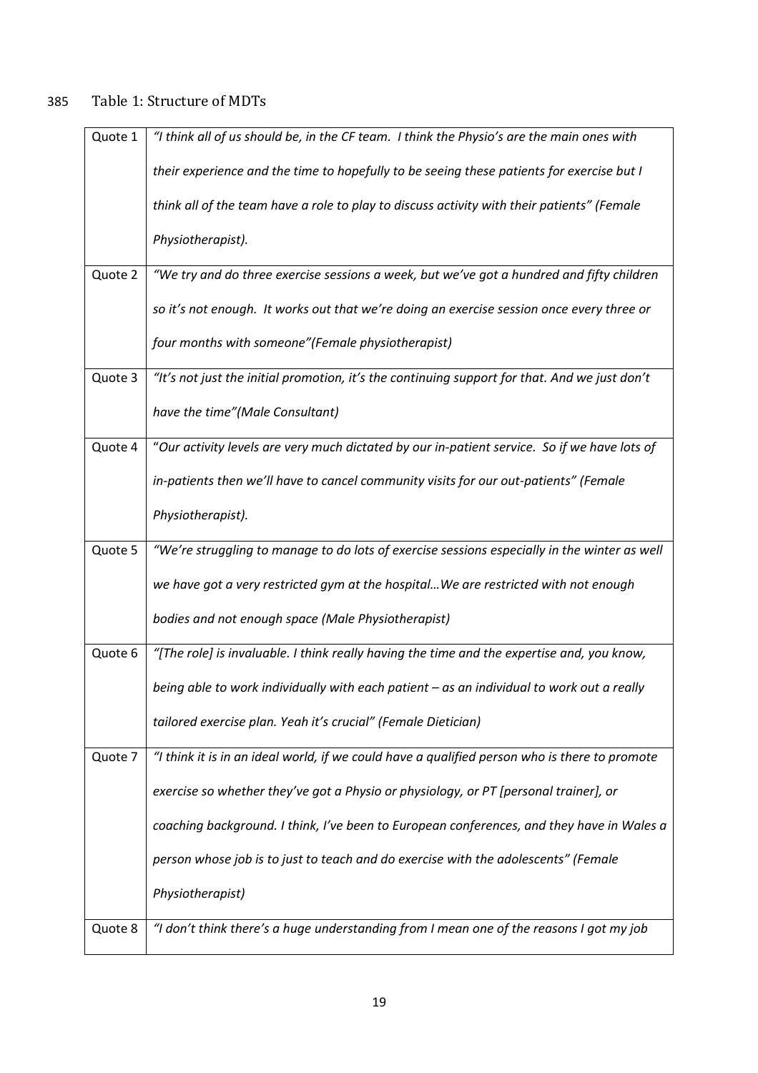# 385 Table 1: Structure of MDTs

| Quote 1 | "I think all of us should be, in the CF team. I think the Physio's are the main ones with     |
|---------|-----------------------------------------------------------------------------------------------|
|         | their experience and the time to hopefully to be seeing these patients for exercise but I     |
|         | think all of the team have a role to play to discuss activity with their patients" (Female    |
|         | Physiotherapist).                                                                             |
| Quote 2 | "We try and do three exercise sessions a week, but we've got a hundred and fifty children     |
|         | so it's not enough. It works out that we're doing an exercise session once every three or     |
|         | four months with someone"(Female physiotherapist)                                             |
| Quote 3 | "It's not just the initial promotion, it's the continuing support for that. And we just don't |
|         | have the time"(Male Consultant)                                                               |
| Quote 4 | "Our activity levels are very much dictated by our in-patient service. So if we have lots of  |
|         | in-patients then we'll have to cancel community visits for our out-patients" (Female          |
|         | Physiotherapist).                                                                             |
| Quote 5 | "We're struggling to manage to do lots of exercise sessions especially in the winter as well  |
|         | we have got a very restricted gym at the hospital We are restricted with not enough           |
|         | bodies and not enough space (Male Physiotherapist)                                            |
| Quote 6 | "[The role] is invaluable. I think really having the time and the expertise and, you know,    |
|         | being able to work individually with each patient - as an individual to work out a really     |
|         | tailored exercise plan. Yeah it's crucial" (Female Dietician)                                 |
| Quote 7 | "I think it is in an ideal world, if we could have a qualified person who is there to promote |
|         | exercise so whether they've got a Physio or physiology, or PT [personal trainer], or          |
|         | coaching background. I think, I've been to European conferences, and they have in Wales a     |
|         | person whose job is to just to teach and do exercise with the adolescents" (Female            |
|         | Physiotherapist)                                                                              |
| Quote 8 | "I don't think there's a huge understanding from I mean one of the reasons I got my job       |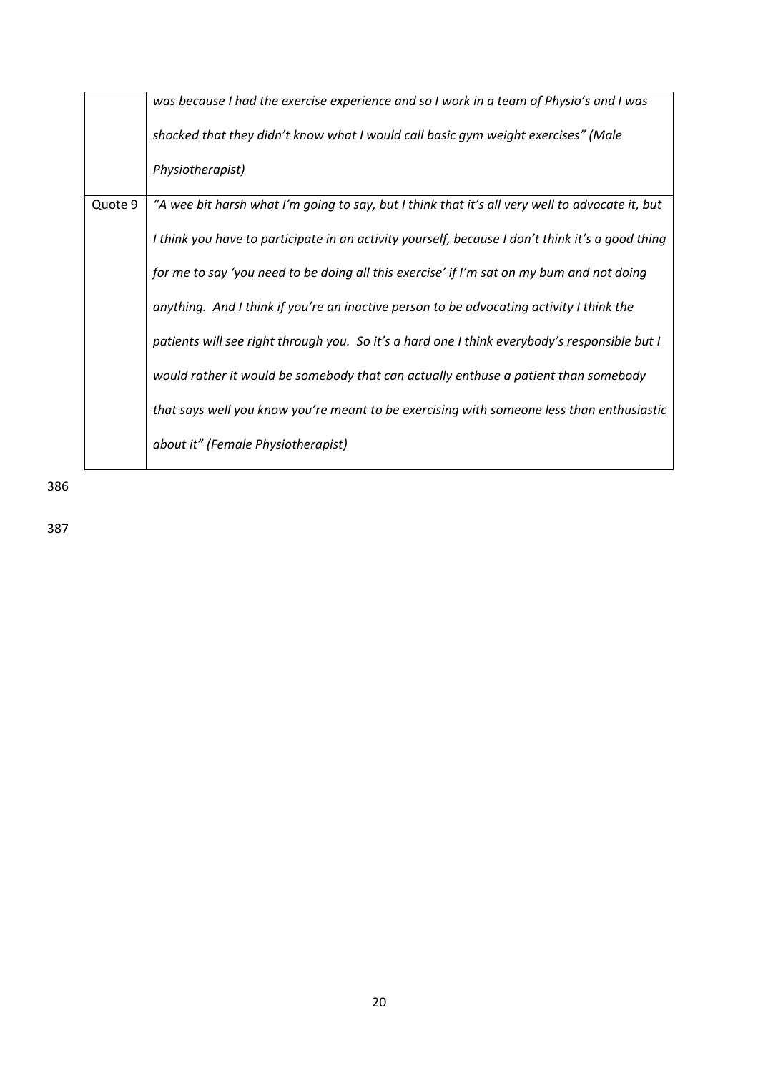|         | was because I had the exercise experience and so I work in a team of Physio's and I was          |
|---------|--------------------------------------------------------------------------------------------------|
|         | shocked that they didn't know what I would call basic gym weight exercises" (Male                |
|         | Physiotherapist)                                                                                 |
| Quote 9 | "A wee bit harsh what I'm going to say, but I think that it's all very well to advocate it, but  |
|         | I think you have to participate in an activity yourself, because I don't think it's a good thing |
|         | for me to say 'you need to be doing all this exercise' if I'm sat on my bum and not doing        |
|         | anything. And I think if you're an inactive person to be advocating activity I think the         |
|         | patients will see right through you. So it's a hard one I think everybody's responsible but I    |
|         | would rather it would be somebody that can actually enthuse a patient than somebody              |
|         | that says well you know you're meant to be exercising with someone less than enthusiastic        |
|         | about it" (Female Physiotherapist)                                                               |

386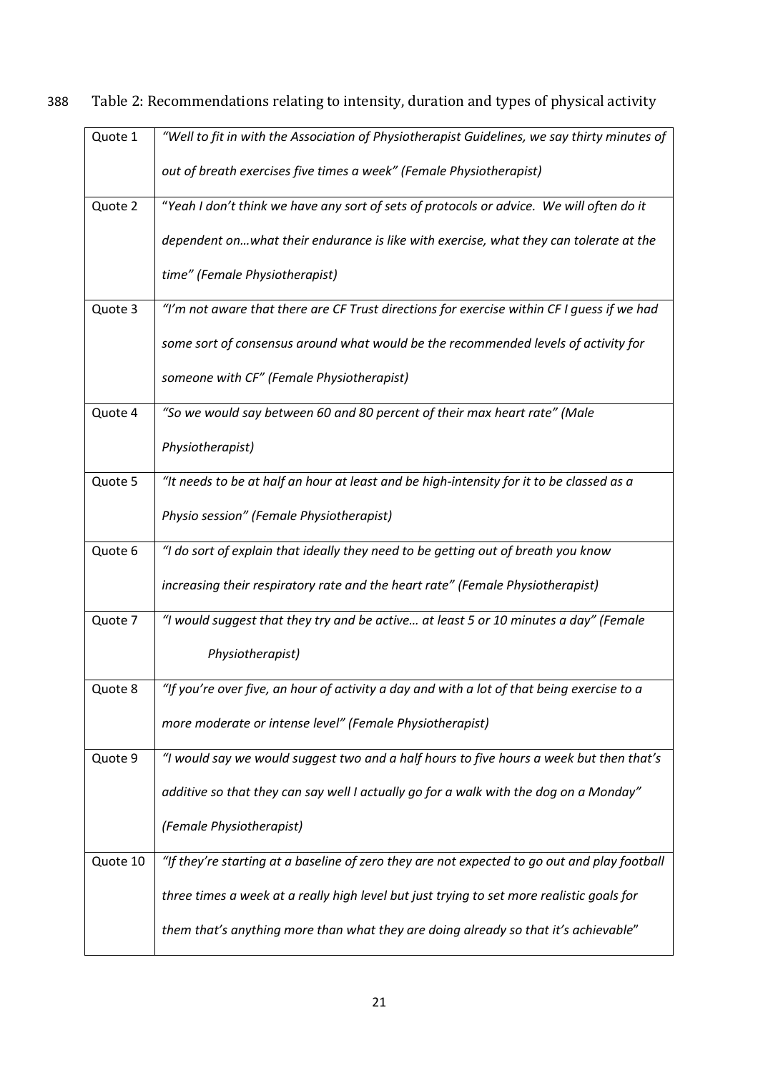| Quote 1  | "Well to fit in with the Association of Physiotherapist Guidelines, we say thirty minutes of |
|----------|----------------------------------------------------------------------------------------------|
|          |                                                                                              |
|          | out of breath exercises five times a week" (Female Physiotherapist)                          |
|          |                                                                                              |
| Quote 2  | "Yeah I don't think we have any sort of sets of protocols or advice. We will often do it     |
|          | dependent onwhat their endurance is like with exercise, what they can tolerate at the        |
|          | time" (Female Physiotherapist)                                                               |
| Quote 3  | "I'm not aware that there are CF Trust directions for exercise within CF I guess if we had   |
|          | some sort of consensus around what would be the recommended levels of activity for           |
|          | someone with CF" (Female Physiotherapist)                                                    |
| Quote 4  | "So we would say between 60 and 80 percent of their max heart rate" (Male                    |
|          | Physiotherapist)                                                                             |
|          |                                                                                              |
| Quote 5  | "It needs to be at half an hour at least and be high-intensity for it to be classed as a     |
|          | Physio session" (Female Physiotherapist)                                                     |
| Quote 6  | "I do sort of explain that ideally they need to be getting out of breath you know            |
|          | increasing their respiratory rate and the heart rate" (Female Physiotherapist)               |
| Quote 7  | "I would suggest that they try and be active at least 5 or 10 minutes a day" (Female         |
|          | Physiotherapist)                                                                             |
| Quote 8  | "If you're over five, an hour of activity a day and with a lot of that being exercise to a   |
|          |                                                                                              |
|          | more moderate or intense level" (Female Physiotherapist)                                     |
| Quote 9  | "I would say we would suggest two and a half hours to five hours a week but then that's      |
|          |                                                                                              |
|          | additive so that they can say well I actually go for a walk with the dog on a Monday"        |
|          | (Female Physiotherapist)                                                                     |
|          |                                                                                              |
| Quote 10 | "If they're starting at a baseline of zero they are not expected to go out and play football |
|          | three times a week at a really high level but just trying to set more realistic goals for    |
|          |                                                                                              |
|          | them that's anything more than what they are doing already so that it's achievable"          |
|          |                                                                                              |

388 Table 2: Recommendations relating to intensity, duration and types of physical activity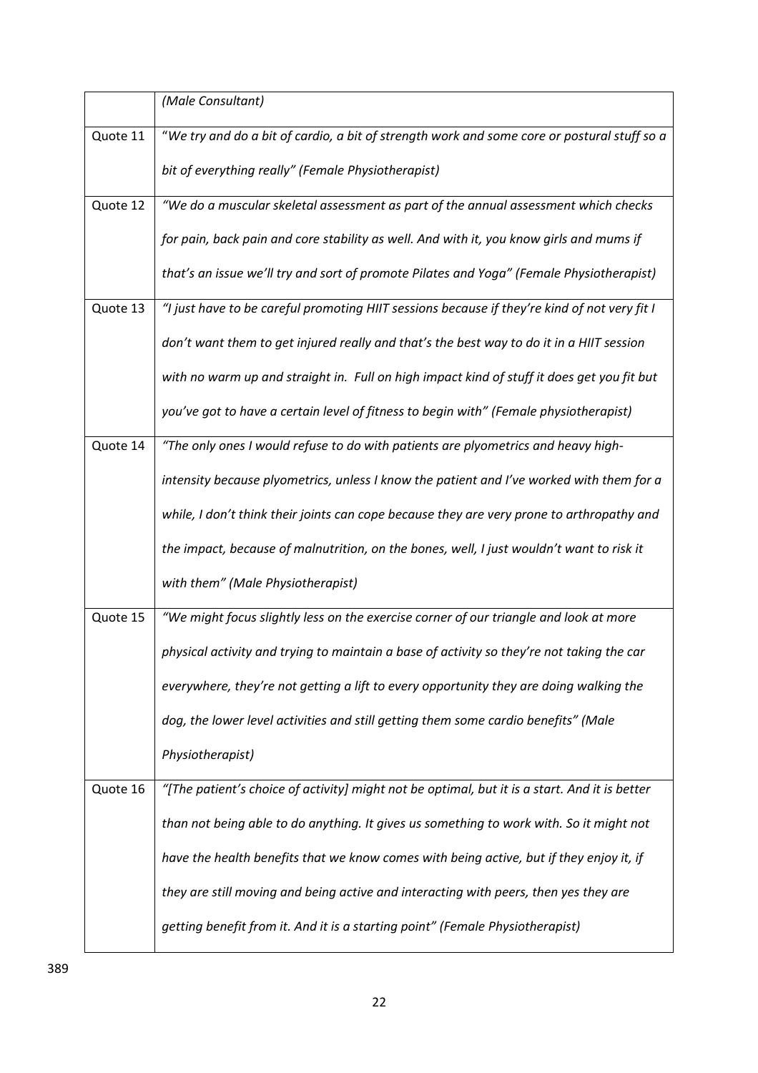|          | (Male Consultant)                                                                             |
|----------|-----------------------------------------------------------------------------------------------|
| Quote 11 | "We try and do a bit of cardio, a bit of strength work and some core or postural stuff so a   |
|          | bit of everything really" (Female Physiotherapist)                                            |
| Quote 12 | "We do a muscular skeletal assessment as part of the annual assessment which checks           |
|          | for pain, back pain and core stability as well. And with it, you know girls and mums if       |
|          | that's an issue we'll try and sort of promote Pilates and Yoga" (Female Physiotherapist)      |
| Quote 13 | "I just have to be careful promoting HIIT sessions because if they're kind of not very fit I  |
|          | don't want them to get injured really and that's the best way to do it in a HIIT session      |
|          | with no warm up and straight in. Full on high impact kind of stuff it does get you fit but    |
|          | you've got to have a certain level of fitness to begin with" (Female physiotherapist)         |
| Quote 14 | "The only ones I would refuse to do with patients are plyometrics and heavy high-             |
|          | intensity because plyometrics, unless I know the patient and I've worked with them for a      |
|          | while, I don't think their joints can cope because they are very prone to arthropathy and     |
|          | the impact, because of malnutrition, on the bones, well, I just wouldn't want to risk it      |
|          | with them" (Male Physiotherapist)                                                             |
| Quote 15 | "We might focus slightly less on the exercise corner of our triangle and look at more         |
|          | physical activity and trying to maintain a base of activity so they're not taking the car     |
|          | everywhere, they're not getting a lift to every opportunity they are doing walking the        |
|          | dog, the lower level activities and still getting them some cardio benefits" (Male            |
|          | Physiotherapist)                                                                              |
| Quote 16 | "[The patient's choice of activity] might not be optimal, but it is a start. And it is better |
|          | than not being able to do anything. It gives us something to work with. So it might not       |
|          | have the health benefits that we know comes with being active, but if they enjoy it, if       |
|          | they are still moving and being active and interacting with peers, then yes they are          |
|          | getting benefit from it. And it is a starting point" (Female Physiotherapist)                 |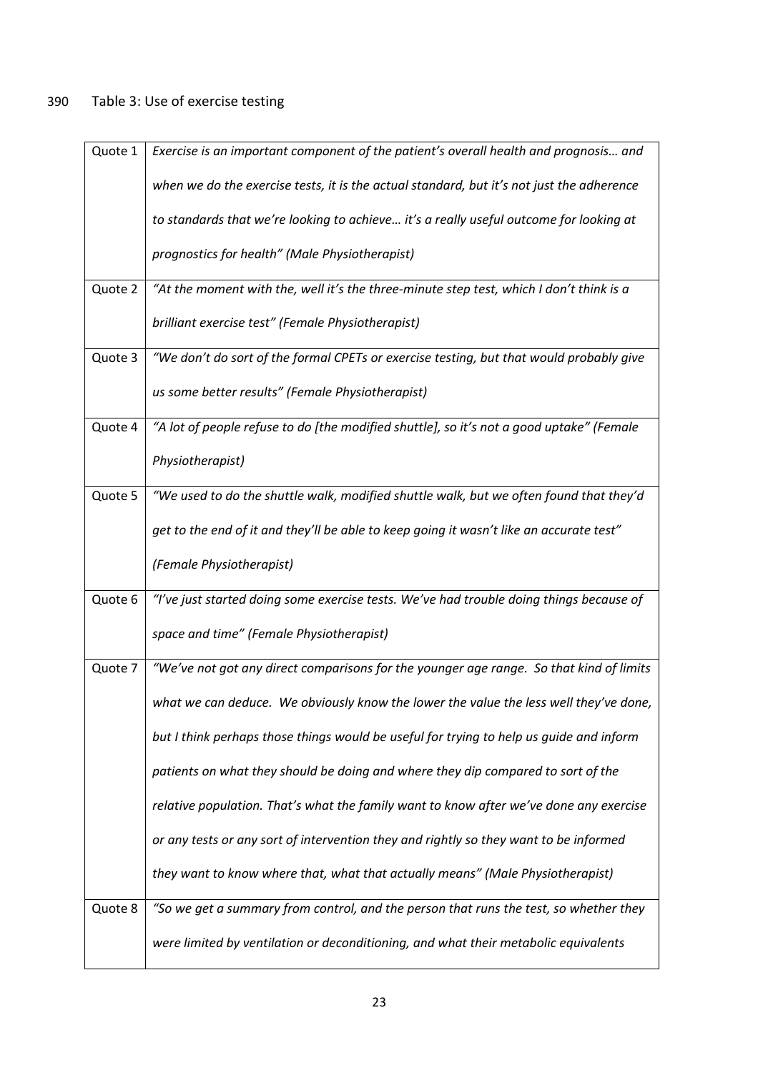| Quote 1 | Exercise is an important component of the patient's overall health and prognosis and      |
|---------|-------------------------------------------------------------------------------------------|
|         | when we do the exercise tests, it is the actual standard, but it's not just the adherence |
|         | to standards that we're looking to achieve it's a really useful outcome for looking at    |
|         | prognostics for health" (Male Physiotherapist)                                            |
| Quote 2 | "At the moment with the, well it's the three-minute step test, which I don't think is a   |
|         | brilliant exercise test" (Female Physiotherapist)                                         |
| Quote 3 | "We don't do sort of the formal CPETs or exercise testing, but that would probably give   |
|         | us some better results" (Female Physiotherapist)                                          |
| Quote 4 | "A lot of people refuse to do [the modified shuttle], so it's not a good uptake" (Female  |
|         | Physiotherapist)                                                                          |
| Quote 5 | "We used to do the shuttle walk, modified shuttle walk, but we often found that they'd    |
|         | get to the end of it and they'll be able to keep going it wasn't like an accurate test"   |
|         | (Female Physiotherapist)                                                                  |
| Quote 6 | "I've just started doing some exercise tests. We've had trouble doing things because of   |
|         | space and time" (Female Physiotherapist)                                                  |
| Quote 7 | "We've not got any direct comparisons for the younger age range. So that kind of limits   |
|         | what we can deduce. We obviously know the lower the value the less well they've done,     |
|         | but I think perhaps those things would be useful for trying to help us guide and inform   |
|         | patients on what they should be doing and where they dip compared to sort of the          |
|         | relative population. That's what the family want to know after we've done any exercise    |
|         | or any tests or any sort of intervention they and rightly so they want to be informed     |
|         | they want to know where that, what that actually means" (Male Physiotherapist)            |
| Quote 8 | "So we get a summary from control, and the person that runs the test, so whether they     |
|         | were limited by ventilation or deconditioning, and what their metabolic equivalents       |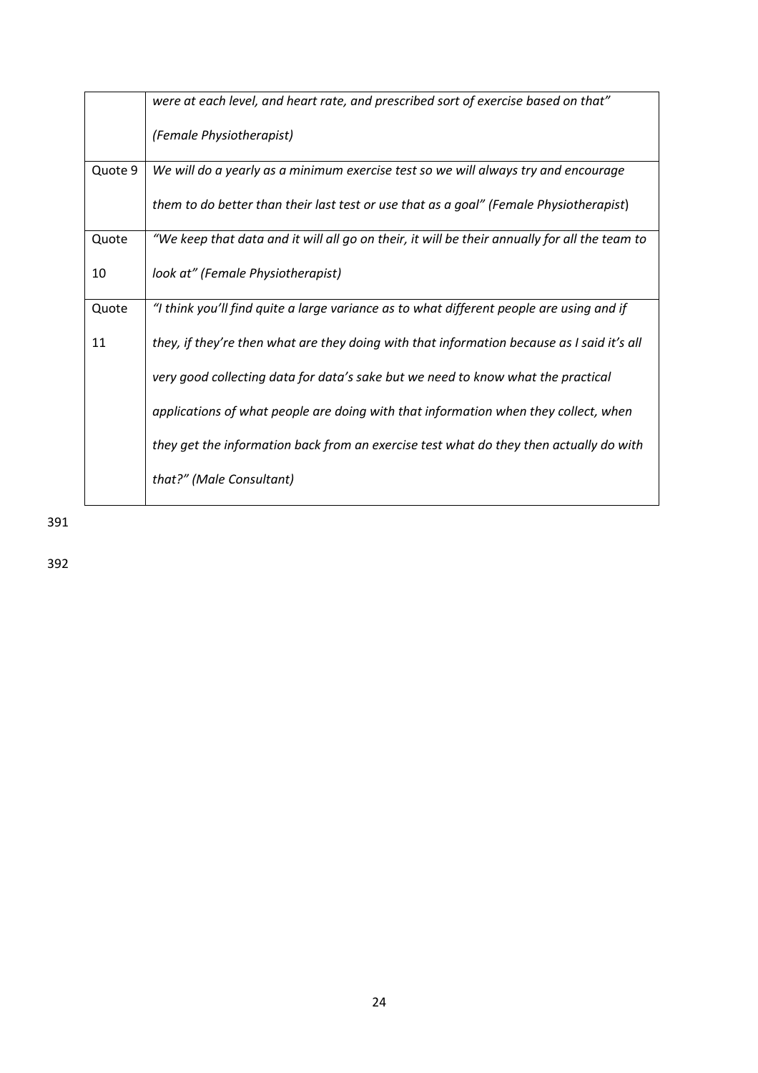|         | were at each level, and heart rate, and prescribed sort of exercise based on that"            |
|---------|-----------------------------------------------------------------------------------------------|
|         | (Female Physiotherapist)                                                                      |
| Quote 9 | We will do a yearly as a minimum exercise test so we will always try and encourage            |
|         | them to do better than their last test or use that as a goal" (Female Physiotherapist)        |
| Quote   | "We keep that data and it will all go on their, it will be their annually for all the team to |
| 10      | look at" (Female Physiotherapist)                                                             |
| Quote   | "I think you'll find quite a large variance as to what different people are using and if      |
| 11      | they, if they're then what are they doing with that information because as I said it's all    |
|         | very good collecting data for data's sake but we need to know what the practical              |
|         | applications of what people are doing with that information when they collect, when           |
|         | they get the information back from an exercise test what do they then actually do with        |
|         | that?" (Male Consultant)                                                                      |

391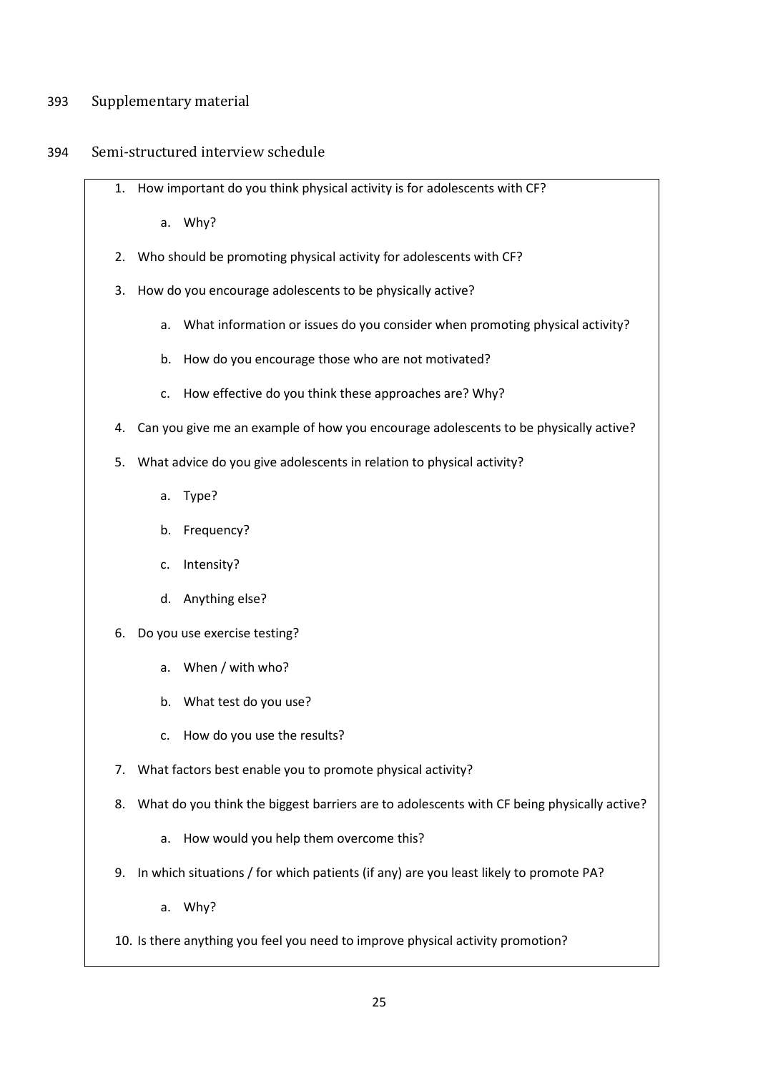### 393 Supplementary material

### 394 Semi-structured interview schedule

1. How important do you think physical activity is for adolescents with CF?

a. Why?

- 2. Who should be promoting physical activity for adolescents with CF?
- 3. How do you encourage adolescents to be physically active?
	- a. What information or issues do you consider when promoting physical activity?
	- b. How do you encourage those who are not motivated?
	- c. How effective do you think these approaches are? Why?
- 4. Can you give me an example of how you encourage adolescents to be physically active?
- 5. What advice do you give adolescents in relation to physical activity?
	- a. Type?
	- b. Frequency?
	- c. Intensity?
	- d. Anything else?
- 6. Do you use exercise testing?
	- a. When / with who?
	- b. What test do you use?
	- c. How do you use the results?
- 7. What factors best enable you to promote physical activity?
- 8. What do you think the biggest barriers are to adolescents with CF being physically active?
	- a. How would you help them overcome this?
- 9. In which situations / for which patients (if any) are you least likely to promote PA?
	- a. Why?
- 10. Is there anything you feel you need to improve physical activity promotion?